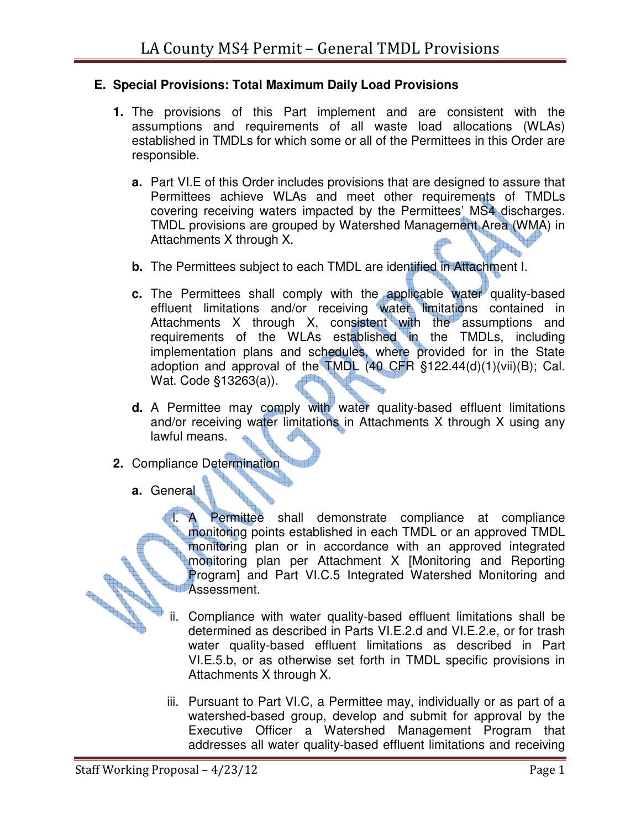## **E. Special Provisions: Total Maximum Daily Load Provisions**

- **1.** The provisions of this Part implement and are consistent with the assumptions and requirements of all waste load allocations (WLAs) established in TMDLs for which some or all of the Permittees in this Order are responsible.
	- **a.** Part VI.E of this Order includes provisions that are designed to assure that Permittees achieve WLAs and meet other requirements of TMDLs covering receiving waters impacted by the Permittees' MS4 discharges. TMDL provisions are grouped by Watershed Management Area (WMA) in Attachments X through X.
	- **b.** The Permittees subject to each TMDL are identified in Attachment I.
	- **c.** The Permittees shall comply with the applicable water quality-based effluent limitations and/or receiving water limitations contained in Attachments X through X, consistent with the assumptions and requirements of the WLAs established in the TMDLs, including implementation plans and schedules, where provided for in the State adoption and approval of the TMDL (40 CFR §122.44(d)(1)(vii)(B); Cal. Wat. Code §13263(a)).
	- **d.** A Permittee may comply with water quality-based effluent limitations and/or receiving water limitations in Attachments X through X using any lawful means.
- **2.** Compliance Determination
	- **a.** General

**CONTROLLER** 

Permittee shall demonstrate compliance at compliance monitoring points established in each TMDL or an approved TMDL monitoring plan or in accordance with an approved integrated monitoring plan per Attachment X [Monitoring and Reporting Program] and Part VI.C.5 Integrated Watershed Monitoring and **Allen** Assessment.

- ii. Compliance with water quality-based effluent limitations shall be determined as described in Parts VI.E.2.d and VI.E.2.e, or for trash water quality-based effluent limitations as described in Part VI.E.5.b, or as otherwise set forth in TMDL specific provisions in Attachments X through X.
- iii. Pursuant to Part VI.C, a Permittee may, individually or as part of a watershed-based group, develop and submit for approval by the Executive Officer a Watershed Management Program that addresses all water quality-based effluent limitations and receiving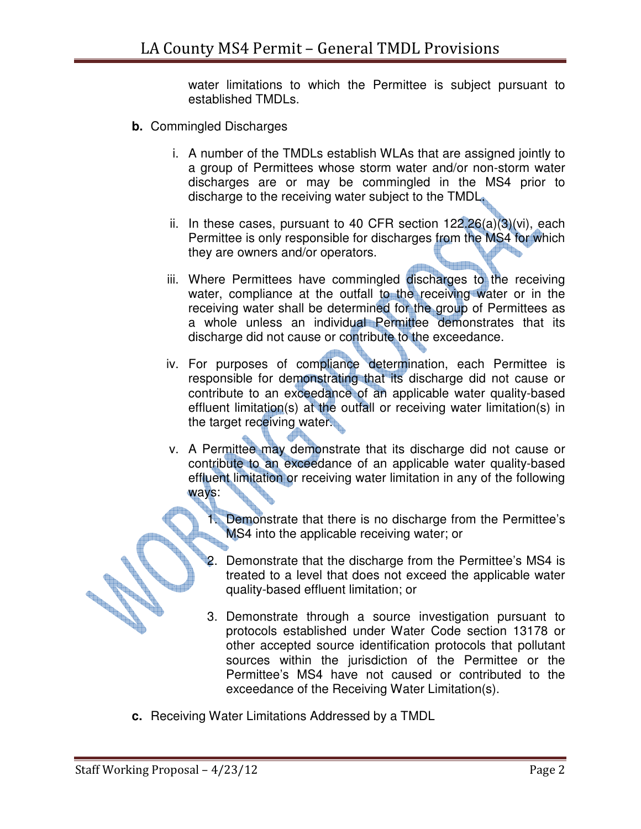water limitations to which the Permittee is subject pursuant to established TMDLs.

- **b.** Commingled Discharges
	- i. A number of the TMDLs establish WLAs that are assigned jointly to a group of Permittees whose storm water and/or non-storm water discharges are or may be commingled in the MS4 prior to discharge to the receiving water subject to the TMDL.
	- ii. In these cases, pursuant to 40 CFR section  $122.26(a)(3)(vi)$ , each Permittee is only responsible for discharges from the MS4 for which they are owners and/or operators.
	- iii. Where Permittees have commingled discharges to the receiving water, compliance at the outfall to the receiving water or in the receiving water shall be determined for the group of Permittees as a whole unless an individual Permittee demonstrates that its discharge did not cause or contribute to the exceedance.
	- iv. For purposes of compliance determination, each Permittee is responsible for demonstrating that its discharge did not cause or contribute to an exceedance of an applicable water quality-based effluent limitation(s) at the outfall or receiving water limitation(s) in the target receiving water.
	- v. A Permittee may demonstrate that its discharge did not cause or contribute to an exceedance of an applicable water quality-based effluent limitation or receiving water limitation in any of the following ways:
		- 1. Demonstrate that there is no discharge from the Permittee's MS4 into the applicable receiving water; or
		- 2. Demonstrate that the discharge from the Permittee's MS4 is treated to a level that does not exceed the applicable water quality-based effluent limitation; or
		- 3. Demonstrate through a source investigation pursuant to protocols established under Water Code section 13178 or other accepted source identification protocols that pollutant sources within the jurisdiction of the Permittee or the Permittee's MS4 have not caused or contributed to the exceedance of the Receiving Water Limitation(s).
- **c.** Receiving Water Limitations Addressed by a TMDL

**CONTROLLER STATE**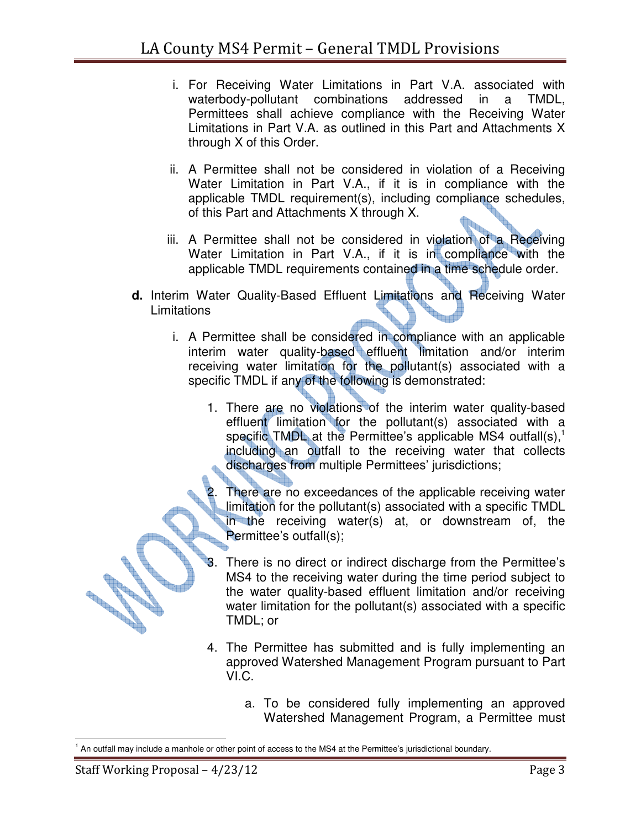- i. For Receiving Water Limitations in Part V.A. associated with waterbody-pollutant combinations addressed in a TMDL, Permittees shall achieve compliance with the Receiving Water Limitations in Part V.A. as outlined in this Part and Attachments X through X of this Order.
- ii. A Permittee shall not be considered in violation of a Receiving Water Limitation in Part V.A., if it is in compliance with the applicable TMDL requirement(s), including compliance schedules, of this Part and Attachments X through X.
- iii. A Permittee shall not be considered in violation of a Receiving Water Limitation in Part V.A., if it is in compliance with the applicable TMDL requirements contained in a time schedule order.
- **d.** Interim Water Quality-Based Effluent Limitations and Receiving Water **Limitations** 
	- i. A Permittee shall be considered in compliance with an applicable interim water quality-based effluent limitation and/or interim receiving water limitation for the pollutant(s) associated with a specific TMDL if any of the following is demonstrated:
		- 1. There are no violations of the interim water quality-based effluent limitation for the pollutant(s) associated with a specific TMDL at the Permittee's applicable MS4 outfall(s), $<sup>1</sup>$ </sup> including an outfall to the receiving water that collects discharges from multiple Permittees' jurisdictions;
			- There are no exceedances of the applicable receiving water limitation for the pollutant(s) associated with a specific TMDL in the receiving water(s) at, or downstream of, the Permittee's outfall(s);
		- There is no direct or indirect discharge from the Permittee's MS4 to the receiving water during the time period subject to the water quality-based effluent limitation and/or receiving water limitation for the pollutant(s) associated with a specific TMDL; or
		- 4. The Permittee has submitted and is fully implementing an approved Watershed Management Program pursuant to Part VI.C.
			- a. To be considered fully implementing an approved Watershed Management Program, a Permittee must

March 1979

 1 An outfall may include a manhole or other point of access to the MS4 at the Permittee's jurisdictional boundary.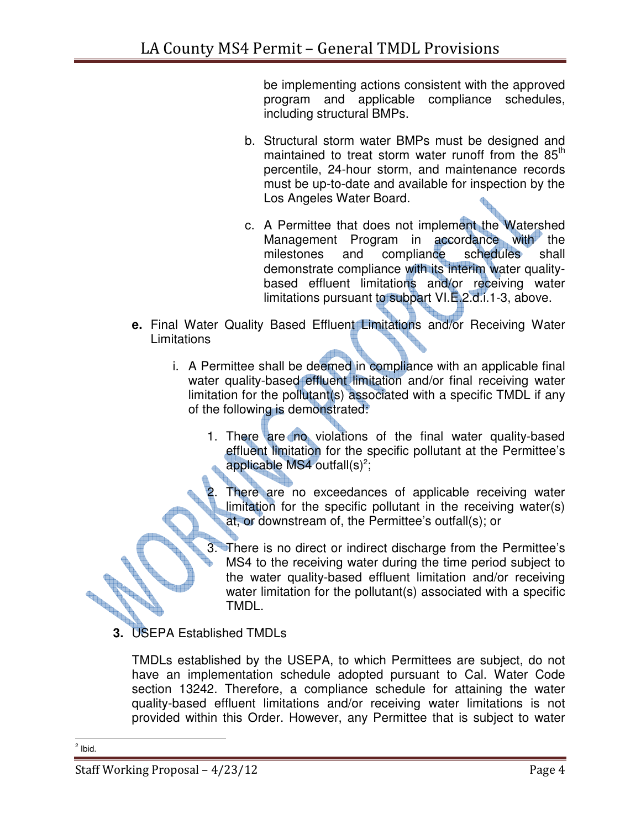be implementing actions consistent with the approved program and applicable compliance schedules, including structural BMPs.

- b. Structural storm water BMPs must be designed and maintained to treat storm water runoff from the  $85<sup>th</sup>$ percentile, 24-hour storm, and maintenance records must be up-to-date and available for inspection by the Los Angeles Water Board.
- c. A Permittee that does not implement the Watershed Management Program in accordance with the milestones and compliance schedules shall demonstrate compliance with its interim water qualitybased effluent limitations and/or receiving water limitations pursuant to subpart VI.E.2.d.i.1-3, above.
- **e.** Final Water Quality Based Effluent Limitations and/or Receiving Water **Limitations** 
	- i. A Permittee shall be deemed in compliance with an applicable final water quality-based effluent limitation and/or final receiving water limitation for the pollutant(s) associated with a specific TMDL if any of the following is demonstrated:
		- 1. There are no violations of the final water quality-based effluent limitation for the specific pollutant at the Permittee's applicable MS4 outfall $(s)^2$ ;
			- There are no exceedances of applicable receiving water limitation for the specific pollutant in the receiving water(s) at, or downstream of, the Permittee's outfall(s); or
		- 3. There is no direct or indirect discharge from the Permittee's MS4 to the receiving water during the time period subject to the water quality-based effluent limitation and/or receiving water limitation for the pollutant(s) associated with a specific TMDL.
- **3.** USEPA Established TMDLs

TMDLs established by the USEPA, to which Permittees are subject, do not have an implementation schedule adopted pursuant to Cal. Water Code section 13242. Therefore, a compliance schedule for attaining the water quality-based effluent limitations and/or receiving water limitations is not provided within this Order. However, any Permittee that is subject to water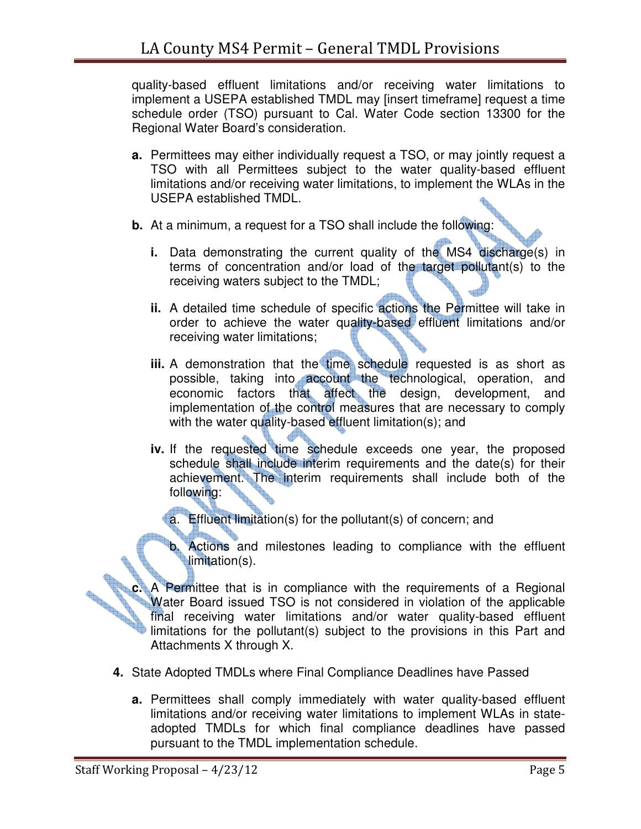quality-based effluent limitations and/or receiving water limitations to implement a USEPA established TMDL may [insert timeframe] request a time schedule order (TSO) pursuant to Cal. Water Code section 13300 for the Regional Water Board's consideration.

- **a.** Permittees may either individually request a TSO, or may jointly request a TSO with all Permittees subject to the water quality-based effluent limitations and/or receiving water limitations, to implement the WLAs in the USEPA established TMDL.
- **b.** At a minimum, a request for a TSO shall include the following:
	- **i.** Data demonstrating the current quality of the MS4 discharge(s) in terms of concentration and/or load of the target pollutant(s) to the receiving waters subject to the TMDL;
	- **ii.** A detailed time schedule of specific actions the Permittee will take in order to achieve the water quality-based effluent limitations and/or receiving water limitations;
	- **iii.** A demonstration that the time schedule requested is as short as possible, taking into account the technological, operation, and economic factors that affect the design, development, and implementation of the control measures that are necessary to comply with the water quality-based effluent limitation(s); and
	- **iv.** If the requested time schedule exceeds one year, the proposed schedule shall include interim requirements and the date(s) for their achievement. The interim requirements shall include both of the following:
		- a. Effluent limitation(s) for the pollutant(s) of concern; and
		- b. Actions and milestones leading to compliance with the effluent limitation(s).

**c.** A Permittee that is in compliance with the requirements of a Regional Water Board issued TSO is not considered in violation of the applicable water Board issued TSO is not considered in violation of the applicable wat Water Board issued TSO is not considered in violation of the applicable final receiving water limitations and/or water quality-based effluent limitations for the pollutant(s) subject to the provisions in this Part and Attachments X through X.

- **4.** State Adopted TMDLs where Final Compliance Deadlines have Passed
	- **a.** Permittees shall comply immediately with water quality-based effluent limitations and/or receiving water limitations to implement WLAs in stateadopted TMDLs for which final compliance deadlines have passed pursuant to the TMDL implementation schedule.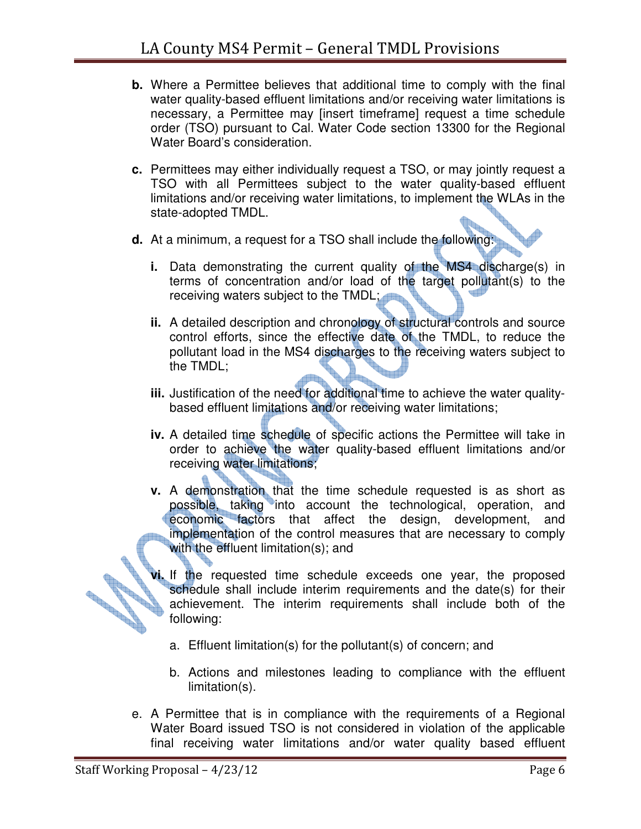- **b.** Where a Permittee believes that additional time to comply with the final water quality-based effluent limitations and/or receiving water limitations is necessary, a Permittee may [insert timeframe] request a time schedule order (TSO) pursuant to Cal. Water Code section 13300 for the Regional Water Board's consideration.
- **c.** Permittees may either individually request a TSO, or may jointly request a TSO with all Permittees subject to the water quality-based effluent limitations and/or receiving water limitations, to implement the WLAs in the state-adopted TMDL.
- **d.** At a minimum, a request for a TSO shall include the following:
	- **i.** Data demonstrating the current quality of the MS4 discharge(s) in terms of concentration and/or load of the target pollutant(s) to the receiving waters subject to the TMDL;
	- **ii.** A detailed description and chronology of structural controls and source control efforts, since the effective date of the TMDL, to reduce the pollutant load in the MS4 discharges to the receiving waters subject to the TMDL;
	- **iii.** Justification of the need for additional time to achieve the water qualitybased effluent limitations and/or receiving water limitations;
	- **iv.** A detailed time schedule of specific actions the Permittee will take in order to achieve the water quality-based effluent limitations and/or receiving water limitations;
	- **v.** A demonstration that the time schedule requested is as short as possible, taking into account the technological, operation, and economic factors that affect the design, development, and implementation of the control measures that are necessary to comply with the effluent limitation(s); and
- **vi.** If the requested time schedule exceeds one year, the proposed schedule shall include interim requirements and the date(s) for their achievement. The interim requirements shall include both of the schedule shall include interim requirements and the date(s) for their **ANTINOPERATION** achievement. The interim requirements shall include both of the following:
	- a. Effluent limitation(s) for the pollutant(s) of concern; and
	- b. Actions and milestones leading to compliance with the effluent limitation(s).
	- e. A Permittee that is in compliance with the requirements of a Regional Water Board issued TSO is not considered in violation of the applicable final receiving water limitations and/or water quality based effluent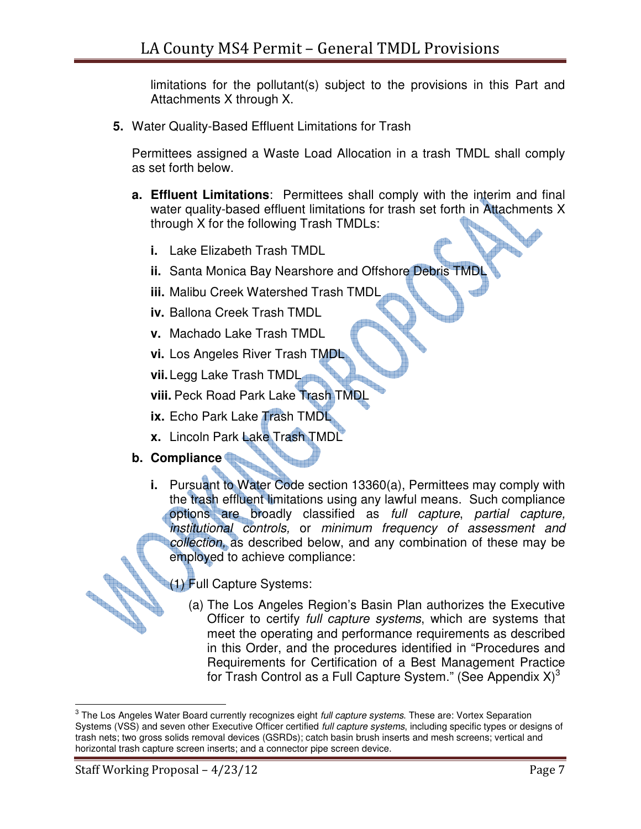limitations for the pollutant(s) subject to the provisions in this Part and Attachments X through X.

**5.** Water Quality-Based Effluent Limitations for Trash

Permittees assigned a Waste Load Allocation in a trash TMDL shall comply as set forth below.

- **a. Effluent Limitations**: Permittees shall comply with the interim and final water quality-based effluent limitations for trash set forth in Attachments X through X for the following Trash TMDLs:
	- **i.** Lake Elizabeth Trash TMDL
	- **ii.** Santa Monica Bay Nearshore and Offshore Debris TMDL
	- **iii.** Malibu Creek Watershed Trash TMDL
	- **iv.** Ballona Creek Trash TMDL
	- **v.** Machado Lake Trash TMDL
	- **vi.** Los Angeles River Trash TMDL
	- **vii.** Legg Lake Trash TMDL

**viii.** Peck Road Park Lake Trash TMDL

- **ix.** Echo Park Lake Trash TMDL
- **x.** Lincoln Park Lake Trash TMDL
- **b. Compliance** 
	- **i.** Pursuant to Water Code section 13360(a), Permittees may comply with the trash effluent limitations using any lawful means. Such compliance options are broadly classified as full capture, partial capture, institutional controls, or minimum frequency of assessment and collection, as described below, and any combination of these may be employed to achieve compliance:
		- **(1) Full Capture Systems:** 
			- (a) The Los Angeles Region's Basin Plan authorizes the Executive Officer to certify full capture systems, which are systems that meet the operating and performance requirements as described in this Order, and the procedures identified in "Procedures and Requirements for Certification of a Best Management Practice for Trash Control as a Full Capture System." (See Appendix  $X$ )<sup>3</sup>

**CONTROLLER** 

 3 The Los Angeles Water Board currently recognizes eight full capture systems. These are: Vortex Separation Systems (VSS) and seven other Executive Officer certified *full capture systems*, including specific types or designs of trash nets; two gross solids removal devices (GSRDs); catch basin brush inserts and mesh screens; vertical and horizontal trash capture screen inserts; and a connector pipe screen device.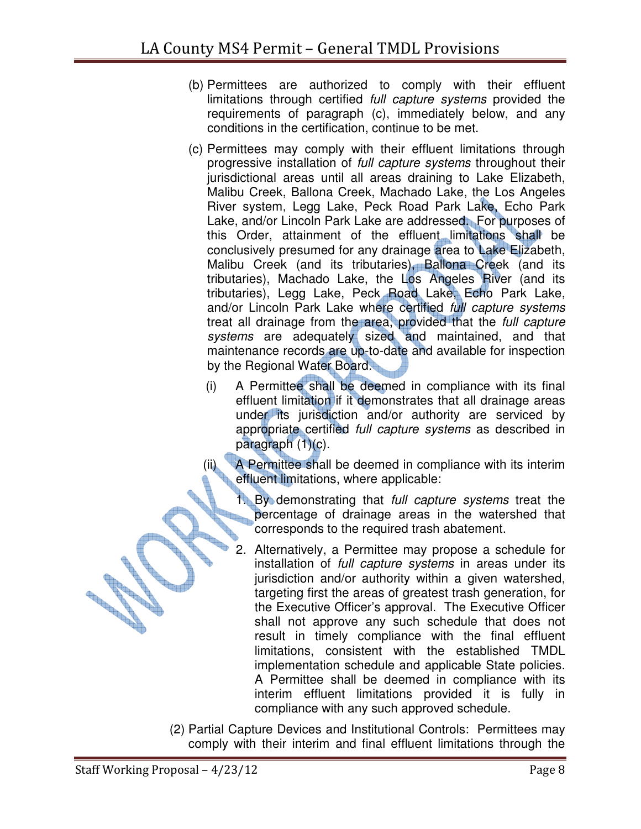- (b) Permittees are authorized to comply with their effluent limitations through certified *full capture systems* provided the requirements of paragraph (c), immediately below, and any conditions in the certification, continue to be met.
- (c) Permittees may comply with their effluent limitations through progressive installation of full capture systems throughout their jurisdictional areas until all areas draining to Lake Elizabeth, Malibu Creek, Ballona Creek, Machado Lake, the Los Angeles River system, Legg Lake, Peck Road Park Lake, Echo Park Lake, and/or Lincoln Park Lake are addressed. For purposes of this Order, attainment of the effluent limitations shall be conclusively presumed for any drainage area to Lake Elizabeth, Malibu Creek (and its tributaries), Ballona Creek (and its tributaries), Machado Lake, the Los Angeles River (and its tributaries), Legg Lake, Peck Road Lake, Echo Park Lake, and/or Lincoln Park Lake where certified full capture systems treat all drainage from the area, provided that the full capture systems are adequately sized and maintained, and that maintenance records are up-to-date and available for inspection by the Regional Water Board.
	- (i) A Permittee shall be deemed in compliance with its final effluent limitation if it demonstrates that all drainage areas under its jurisdiction and/or authority are serviced by appropriate certified full capture systems as described in paragraph (1)(c).

(ii) A Permittee shall be deemed in compliance with its interim effluent limitations, where applicable:

1. By demonstrating that *full capture systems* treat the percentage of drainage areas in the watershed that percentage of drainage areas in the watershed that corresponds to the required trash abatement.

- 2. Alternatively, a Permittee may propose a schedule for installation of full capture systems in areas under its jurisdiction and/or authority within a given watershed, targeting first the areas of greatest trash generation, for the Executive Officer's approval. The Executive Officer shall not approve any such schedule that does not result in timely compliance with the final effluent limitations, consistent with the established TMDL implementation schedule and applicable State policies. A Permittee shall be deemed in compliance with its interim effluent limitations provided it is fully in compliance with any such approved schedule.
- (2) Partial Capture Devices and Institutional Controls: Permittees may comply with their interim and final effluent limitations through the

**CONTROLLER** 

**Contractions** 

**Room**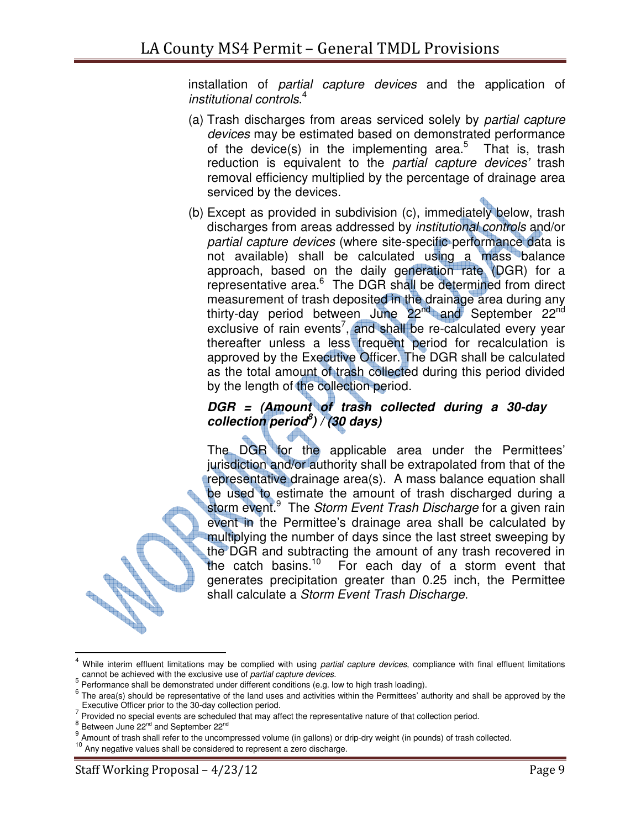installation of partial capture devices and the application of institutional controls. 4

- (a) Trash discharges from areas serviced solely by partial capture devices may be estimated based on demonstrated performance of the device(s) in the implementing area.<sup>5</sup> That is, trash reduction is equivalent to the partial capture devices' trash removal efficiency multiplied by the percentage of drainage area serviced by the devices.
- (b) Except as provided in subdivision (c), immediately below, trash discharges from areas addressed by institutional controls and/or partial capture devices (where site-specific performance data is not available) shall be calculated using a mass balance approach, based on the daily generation rate (DGR) for a representative area.<sup>6</sup> The DGR shall be determined from direct measurement of trash deposited in the drainage area during any thirty-day period between June 22<sup>nd</sup> and September 22<sup>nd</sup> exclusive of rain events<sup>7</sup>, and shall be re-calculated every year thereafter unless a less frequent period for recalculation is approved by the Executive Officer. The DGR shall be calculated as the total amount of trash collected during this period divided by the length of the collection period.

## **DGR = (Amount of trash collected during a 30-day collection period<sup>8</sup> ) / (30 days)**

The DGR for the applicable area under the Permittees' jurisdiction and/or authority shall be extrapolated from that of the representative drainage area(s). A mass balance equation shall be used to estimate the amount of trash discharged during a storm event.<sup>9</sup> The Storm Event Trash Discharge for a given rain event in the Permittee's drainage area shall be calculated by multiplying the number of days since the last street sweeping by the DGR and subtracting the amount of any trash recovered in the catch basins.<sup>10</sup> For each day of a storm event that generates precipitation greater than 0.25 inch, the Permittee shall calculate a Storm Event Trash Discharge.

 $\overline{\phantom{a}}$ 

<sup>4</sup> While interim effluent limitations may be complied with using partial capture devices, compliance with final effluent limitations cannot be achieved with the exclusive use of partial capture devices.

<sup>&</sup>lt;sup>5</sup> Performance shall be demonstrated under different conditions (e.g. low to high trash loading).

 $6$  The area(s) should be representative of the land uses and activities within the Permittees' authority and shall be approved by the Executive Officer prior to the 30-day collection period.

 $<sup>7</sup>$  Provided no special events are scheduled that may affect the representative nature of that collection period.</sup>

 $<sup>8</sup>$  Between June 22<sup>nd</sup> and September 22<sup>nd</sup></sup>

<sup>9</sup> Amount of trash shall refer to the uncompressed volume (in gallons) or drip-dry weight (in pounds) of trash collected.

Any negative values shall be considered to represent a zero discharge.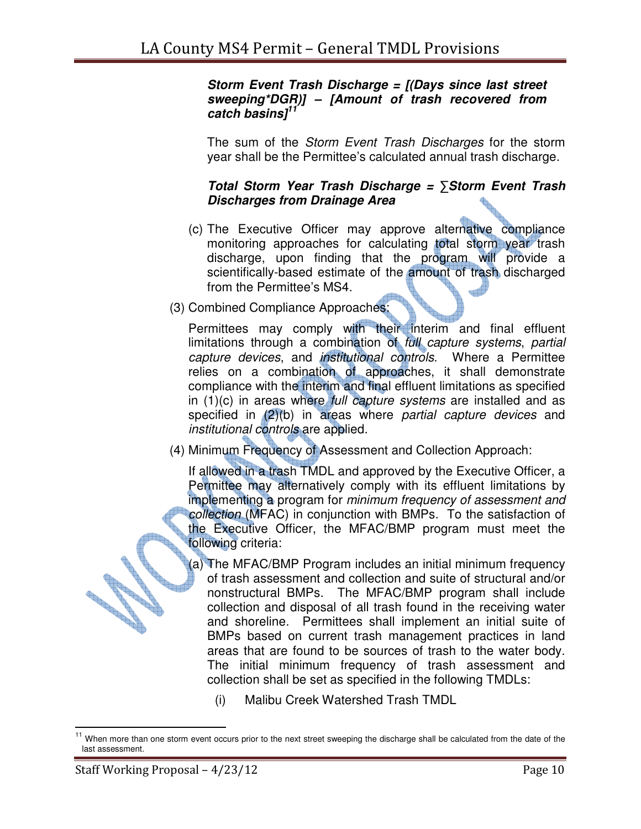## **Storm Event Trash Discharge = [(Days since last street sweeping\*DGR)] – [Amount of trash recovered from catch basins]<sup>11</sup>**

The sum of the Storm Event Trash Discharges for the storm year shall be the Permittee's calculated annual trash discharge.

## **Total Storm Year Trash Discharge =** ∑**Storm Event Trash Discharges from Drainage Area**

- (c) The Executive Officer may approve alternative compliance monitoring approaches for calculating total storm year trash discharge, upon finding that the program will provide a scientifically-based estimate of the amount of trash discharged from the Permittee's MS4.
- (3) Combined Compliance Approaches:

Permittees may comply with their interim and final effluent limitations through a combination of full capture systems, partial capture devices, and institutional controls. Where a Permittee relies on a combination of approaches, it shall demonstrate compliance with the interim and final effluent limitations as specified in  $(1)(c)$  in areas where full capture systems are installed and as specified in (2)(b) in areas where partial capture devices and institutional controls are applied.

(4) Minimum Frequency of Assessment and Collection Approach:

If allowed in a trash TMDL and approved by the Executive Officer, a Permittee may alternatively comply with its effluent limitations by implementing a program for minimum frequency of assessment and collection (MFAC) in conjunction with BMPs. To the satisfaction of the Executive Officer, the MFAC/BMP program must meet the following criteria:

(a) The MFAC/BMP Program includes an initial minimum frequency of trash assessment and collection and suite of structural and/or nonstructural BMPs. The MFAC/BMP program shall include collection and disposal of all trash found in the receiving water and shoreline. Permittees shall implement an initial suite of BMPs based on current trash management practices in land areas that are found to be sources of trash to the water body. The initial minimum frequency of trash assessment and collection shall be set as specified in the following TMDLs:

(i) Malibu Creek Watershed Trash TMDL

**CONTROLLER** 

**Contractions** 

 $\overline{\phantom{a}}$ <sup>11</sup> When more than one storm event occurs prior to the next street sweeping the discharge shall be calculated from the date of the last assessment.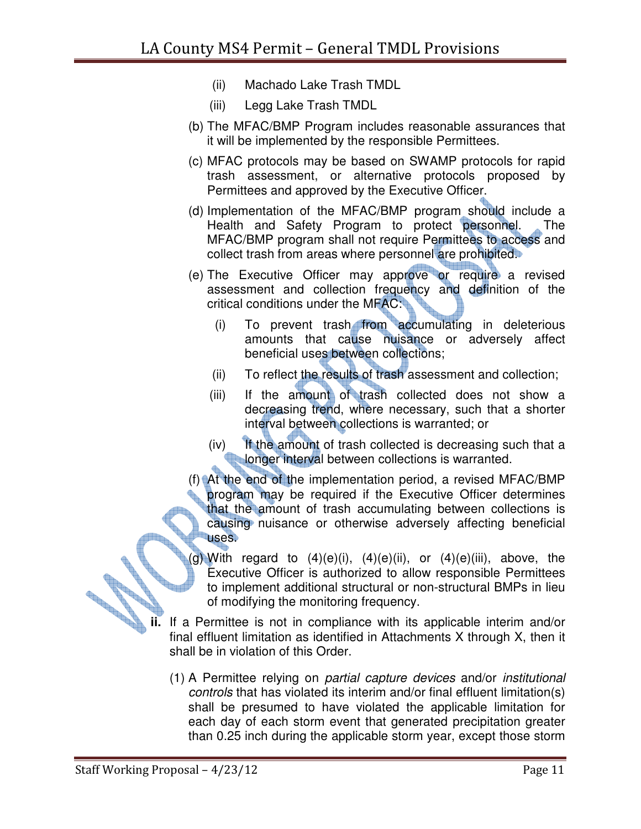- (ii) Machado Lake Trash TMDL
- (iii) Legg Lake Trash TMDL
- (b) The MFAC/BMP Program includes reasonable assurances that it will be implemented by the responsible Permittees.
- (c) MFAC protocols may be based on SWAMP protocols for rapid trash assessment, or alternative protocols proposed by Permittees and approved by the Executive Officer.
- (d) Implementation of the MFAC/BMP program should include a Health and Safety Program to protect personnel. The MFAC/BMP program shall not require Permittees to access and collect trash from areas where personnel are prohibited.
- (e) The Executive Officer may approve or require a revised assessment and collection frequency and definition of the critical conditions under the MFAC:
	- (i) To prevent trash from accumulating in deleterious amounts that cause nuisance or adversely affect beneficial uses between collections;
	- (ii) To reflect the results of trash assessment and collection;
	- (iii) If the amount of trash collected does not show a decreasing trend, where necessary, such that a shorter interval between collections is warranted; or
	- (iv) If the amount of trash collected is decreasing such that a **longer interval between collections is warranted.**
- (f) At the end of the implementation period, a revised MFAC/BMP program may be required if the Executive Officer determines that the amount of trash accumulating between collections is causing nuisance or otherwise adversely affecting beneficial uses.
- (g) With regard to  $(4)(e)(i)$ ,  $(4)(e)(ii)$ , or  $(4)(e)(iii)$ , above, the Executive Officer is authorized to allow responsible Permittees to implement additional structural or non-structural BMPs in lieu of modifying the monitoring frequency.
- **ii.** If a Permittee is not in compliance with its applicable interim and/or final effluent limitation as identified in Attachments X through X, then it shall be in violation of this Order.
	- (1) A Permittee relying on partial capture devices and/or institutional controls that has violated its interim and/or final effluent limitation(s) shall be presumed to have violated the applicable limitation for each day of each storm event that generated precipitation greater than 0.25 inch during the applicable storm year, except those storm

No of the contract of the contract of the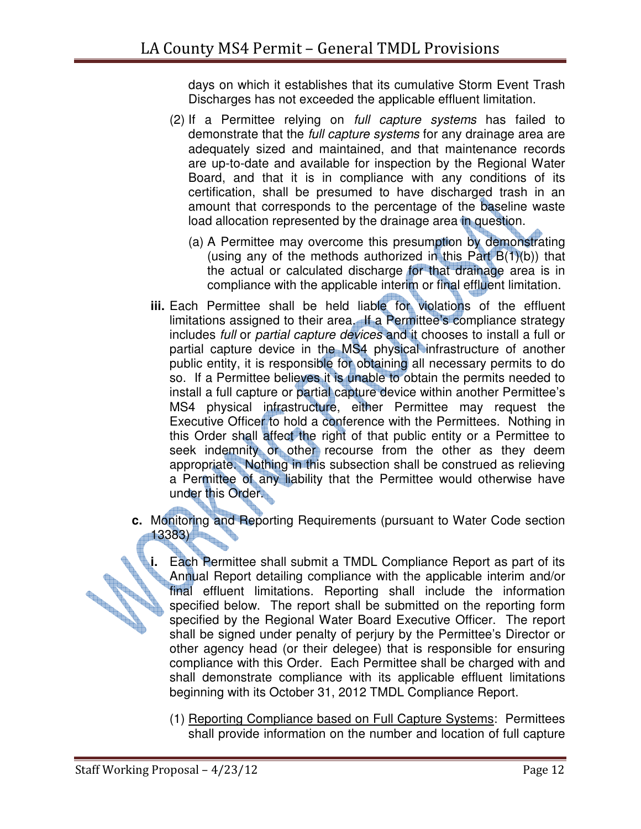days on which it establishes that its cumulative Storm Event Trash Discharges has not exceeded the applicable effluent limitation.

- (2) If a Permittee relying on full capture systems has failed to demonstrate that the *full capture systems* for any drainage area are adequately sized and maintained, and that maintenance records are up-to-date and available for inspection by the Regional Water Board, and that it is in compliance with any conditions of its certification, shall be presumed to have discharged trash in an amount that corresponds to the percentage of the baseline waste load allocation represented by the drainage area in question.
	- (a) A Permittee may overcome this presumption by demonstrating (using any of the methods authorized in this Part  $B(1)(b)$ ) that the actual or calculated discharge for that drainage area is in compliance with the applicable interim or final effluent limitation.
- **iii.** Each Permittee shall be held liable for violations of the effluent limitations assigned to their area. If a Permittee's compliance strategy includes full or partial capture devices and it chooses to install a full or partial capture device in the MS4 physical infrastructure of another public entity, it is responsible for obtaining all necessary permits to do so. If a Permittee believes it is unable to obtain the permits needed to install a full capture or partial capture device within another Permittee's MS4 physical infrastructure, either Permittee may request the Executive Officer to hold a conference with the Permittees. Nothing in this Order shall affect the right of that public entity or a Permittee to seek indemnity or other recourse from the other as they deem appropriate. Nothing in this subsection shall be construed as relieving a Permittee of any liability that the Permittee would otherwise have under this Order.
- **c.** Monitoring and Reporting Requirements (pursuant to Water Code section 13383)
- **i.** Each Permittee shall submit a TMDL Compliance Report as part of its Annual Report detailing compliance with the applicable interim and/or final effluent limitations. Reporting shall include the information specified b Annual Report detailing compliance with the applicable interim and/or final effluent limitations. Reporting shall include the information specified below. The report shall be submitted on the reporting form specified by the Regional Water Board Executive Officer. The report shall be signed under penalty of perjury by the Permittee's Director or other agency head (or their delegee) that is responsible for ensuring compliance with this Order. Each Permittee shall be charged with and shall demonstrate compliance with its applicable effluent limitations beginning with its October 31, 2012 TMDL Compliance Report.
	- (1) Reporting Compliance based on Full Capture Systems: Permittees shall provide information on the number and location of full capture